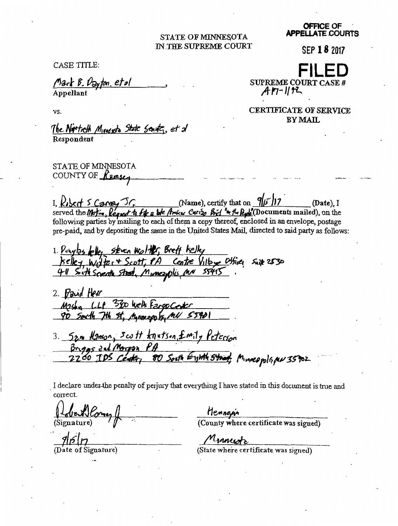## STATE OF MINNESOTA IN THE SUPREME COURT

CASE TITLE:

Mark B. Dayton, et al

Appellant

VS.

SUPREME COURT CASE #  $A$ n-1152

**CERTIFICATE OF SERVICE BY MAIL** 

The Norticth Movesta State Senate, et d Respondent

STATE OF MINNESOTA COUNTY OF Remsey

I,  $k$ bed  $\leq$  Carvey  $\mathcal{F}_r$  (Name), certify that on  $\frac{q}{r}$  17  $(**Date**)$ . I served the Motion, leggest to fit a lot Amicus Curizo Bird "in the Reple (Documents mailed), on the following parties by mailing to each of them a copy thereof, enclosed in an envelope, postage pre-paid, and by depositing the same in the United States Mail, directed to said party as follows:

1. Powyles felley steven Wolffer, Breft Kelley<br>Kelley, Wolfer + Scott, PA Centre Villey Othics, Suite 2530<br>411 Soft Seventh Street, Munesyplis, AN 55415

2. Paid Herr Masky LLP 3300 Welk Fargo Center 90 South 7th St, Manuscols, MN 55901

3. Sam Hamon, Scott knutson, £mily Peterson Briggs and Morpon PA<br>2200 IDS Center 80 South Eyith Street, Minneapolispu 35902

I declare under the penalty of perjury that everything I have stated in this document is true and correct.

Signature)

Date of Signature)

Hennewin<br>(County where certificate was signed)

Minnesotz

(State where certificate was signed)

**OFFICE OF APPELLATE COURTS** 

SEP 18 2017

FII FI